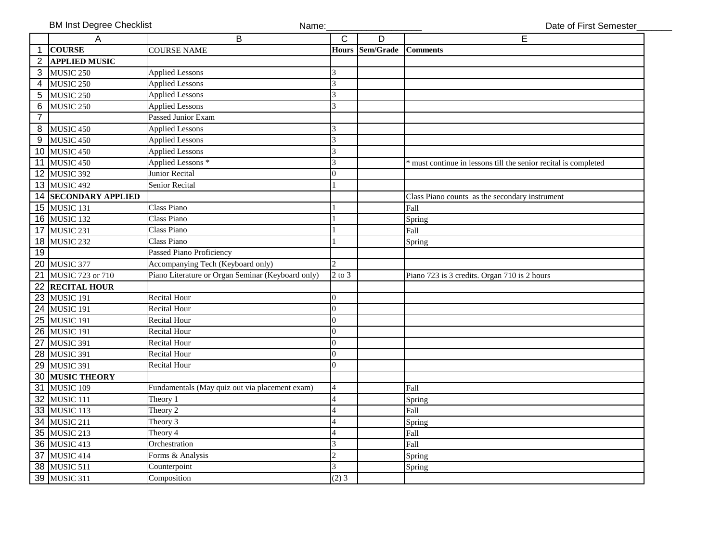|                | <b>BM Inst Degree Checklist</b><br>Name: |                                                   |                             |           | Date of First Semester                                        |
|----------------|------------------------------------------|---------------------------------------------------|-----------------------------|-----------|---------------------------------------------------------------|
|                | A                                        | B                                                 | C                           | D         | E                                                             |
| $\mathbf{1}$   | <b>COURSE</b>                            | <b>COURSE NAME</b>                                | <b>Hours</b>                | Sem/Grade | <b>Comments</b>                                               |
| $\overline{2}$ | <b>APPLIED MUSIC</b>                     |                                                   |                             |           |                                                               |
|                | 3 MUSIC 250                              | <b>Applied Lessons</b>                            | 3                           |           |                                                               |
|                | 4 MUSIC 250                              | <b>Applied Lessons</b>                            | 3                           |           |                                                               |
|                | 5 MUSIC 250                              | <b>Applied Lessons</b>                            | 3                           |           |                                                               |
| 6              | MUSIC 250                                | <b>Applied Lessons</b>                            | 3                           |           |                                                               |
| $\overline{7}$ |                                          | <b>Passed Junior Exam</b>                         |                             |           |                                                               |
|                | 8 MUSIC 450                              | <b>Applied Lessons</b>                            | 3                           |           |                                                               |
|                | 9 MUSIC 450                              | <b>Applied Lessons</b>                            | 3                           |           |                                                               |
|                | 10 MUSIC 450                             | <b>Applied Lessons</b>                            | 3                           |           |                                                               |
|                | 11 MUSIC 450                             | Applied Lessons <sup>*</sup>                      | 3                           |           | must continue in lessons till the senior recital is completed |
|                | 12 MUSIC 392                             | Junior Recital                                    | $\Omega$                    |           |                                                               |
|                | 13 MUSIC 492                             | Senior Recital                                    |                             |           |                                                               |
|                | <b>14 SECONDARY APPLIED</b>              |                                                   |                             |           | Class Piano counts as the secondary instrument                |
|                | 15 MUSIC 131                             | Class Piano                                       |                             |           | Fall                                                          |
|                | 16 MUSIC 132                             | Class Piano                                       |                             |           | Spring                                                        |
|                | <b>17 MUSIC 231</b>                      | Class Piano                                       |                             |           | Fall                                                          |
|                | 18 MUSIC 232                             | Class Piano                                       |                             |           | Spring                                                        |
| 19             |                                          | Passed Piano Proficiency                          |                             |           |                                                               |
|                | 20 MUSIC 377                             | Accompanying Tech (Keyboard only)                 | $\mathcal{D}_{\mathcal{L}}$ |           |                                                               |
|                | 21 MUSIC 723 or 710                      | Piano Literature or Organ Seminar (Keyboard only) | $2$ to $3$                  |           | Piano 723 is 3 credits. Organ 710 is 2 hours                  |
|                | 22 RECITAL HOUR                          |                                                   |                             |           |                                                               |
|                | 23 MUSIC 191                             | <b>Recital Hour</b>                               | 0                           |           |                                                               |
|                | 24 MUSIC 191                             | <b>Recital Hour</b>                               | $\overline{0}$              |           |                                                               |
|                | 25 MUSIC 191                             | <b>Recital Hour</b>                               | $\overline{0}$              |           |                                                               |
|                | <b>26 MUSIC 191</b>                      | <b>Recital Hour</b>                               | $\Omega$                    |           |                                                               |
|                | <b>27 MUSIC 391</b>                      | <b>Recital Hour</b>                               | $\overline{0}$              |           |                                                               |
|                | 28 MUSIC 391                             | Recital Hour                                      | $\Omega$                    |           |                                                               |
|                | 29 MUSIC 391                             | <b>Recital Hour</b>                               | $\Omega$                    |           |                                                               |
|                | 30 MUSIC THEORY                          |                                                   |                             |           |                                                               |
|                | 31 MUSIC 109                             | Fundamentals (May quiz out via placement exam)    | $\overline{4}$              |           | Fall                                                          |
|                | 32 MUSIC 111                             | Theory 1                                          | $\overline{4}$              |           | Spring                                                        |
|                | 33 MUSIC 113                             | Theory 2                                          | 4                           |           | Fall                                                          |
|                | 34 MUSIC 211                             | Theory 3                                          | $\overline{4}$              |           | Spring                                                        |
|                | 35 MUSIC 213                             | Theory 4                                          | 4                           |           | Fall                                                          |
|                | 36 MUSIC 413                             | Orchestration                                     | 3                           |           | Fall                                                          |
|                | <b>37 MUSIC 414</b>                      | Forms & Analysis                                  | $\overline{2}$              |           | Spring                                                        |
|                | 38 MUSIC 511                             | Counterpoint                                      | 3                           |           | Spring                                                        |
|                | 39 MUSIC 311                             | Composition                                       | $(2)$ 3                     |           |                                                               |